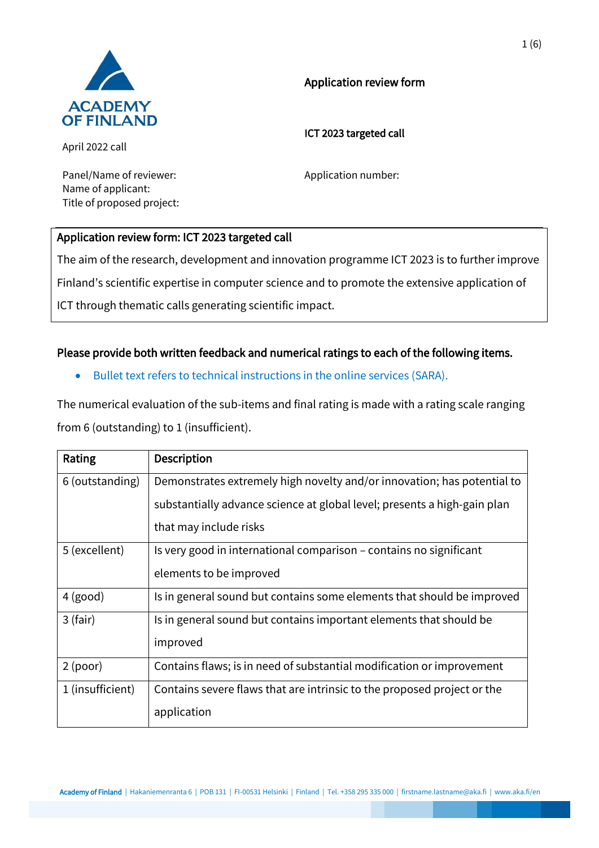

# Application review form

ICT 2023 targeted call

April 2022 call

Panel/Name of reviewer: Application number: Name of applicant: Title of proposed project:

# Application review form: ICT 2023 targeted call

The aim of the research, development and innovation programme ICT 2023 is to further improve Finland's scientific expertise in computer science and to promote the extensive application of ICT through thematic calls generating scientific impact.

# Please provide both written feedback and numerical ratings to each of the following items.

• Bullet text refers to technical instructions in the online services (SARA).

The numerical evaluation of the sub-items and final rating is made with a rating scale ranging from 6 (outstanding) to 1 (insufficient).

| Rating           | <b>Description</b>                                                       |
|------------------|--------------------------------------------------------------------------|
| 6 (outstanding)  | Demonstrates extremely high novelty and/or innovation; has potential to  |
|                  | substantially advance science at global level; presents a high-gain plan |
|                  | that may include risks                                                   |
| 5 (excellent)    | Is very good in international comparison – contains no significant       |
|                  | elements to be improved                                                  |
| $4$ (good)       | Is in general sound but contains some elements that should be improved   |
| $3$ (fair)       | Is in general sound but contains important elements that should be       |
|                  | improved                                                                 |
| $2$ (poor)       | Contains flaws; is in need of substantial modification or improvement    |
| 1 (insufficient) | Contains severe flaws that are intrinsic to the proposed project or the  |
|                  | application                                                              |

Academy of Finland | Hakaniemenranta 6 | POB 131 | FI-00531 Helsinki | Finland | Tel. +358 295 335 000 | firstname.lastname@aka.fi | www.aka.fi/en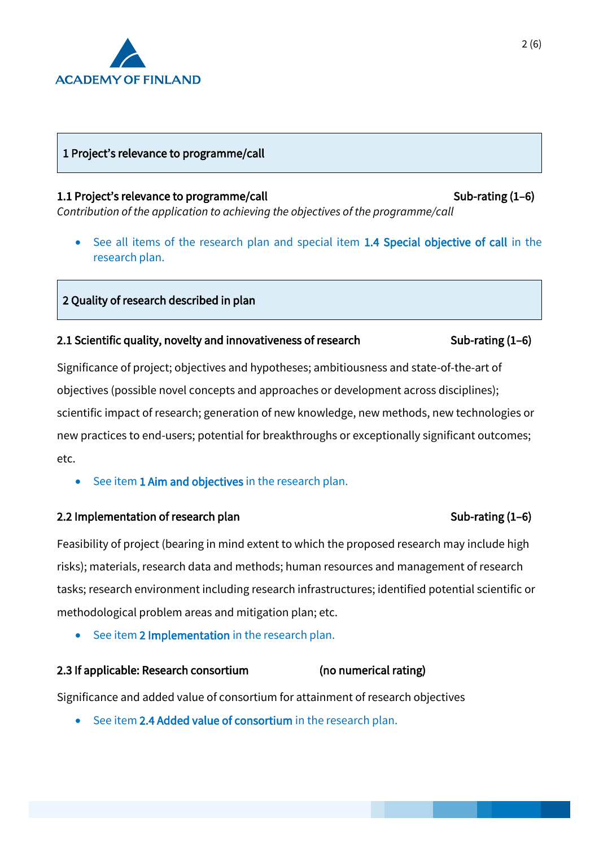

# 1 Project's relevance to programme/call

### 1.1 Project's relevance to programme/call Sub-rating (1–6)

*Contribution of the application to achieving the objectives of the programme/call*

• See all items of the research plan and special item 1.4 Special objective of call in the research plan.

# 2 Quality of research described in plan

# 2.1 Scientific quality, novelty and innovativeness of research Sub-rating (1–6)

Significance of project; objectives and hypotheses; ambitiousness and state-of-the-art of objectives (possible novel concepts and approaches or development across disciplines); scientific impact of research; generation of new knowledge, new methods, new technologies or new practices to end-users; potential for breakthroughs or exceptionally significant outcomes; etc.

• See item 1 Aim and objectives in the research plan.

# 2.2 Implementation of research plan Sub-rating (1–6)

Feasibility of project (bearing in mind extent to which the proposed research may include high risks); materials, research data and methods; human resources and management of research tasks; research environment including research infrastructures; identified potential scientific or methodological problem areas and mitigation plan; etc.

See item 2 Implementation in the research plan.

# 2.3 If applicable: Research consortium (no numerical rating)

Significance and added value of consortium for attainment of research objectives

See item 2.4 Added value of consortium in the research plan.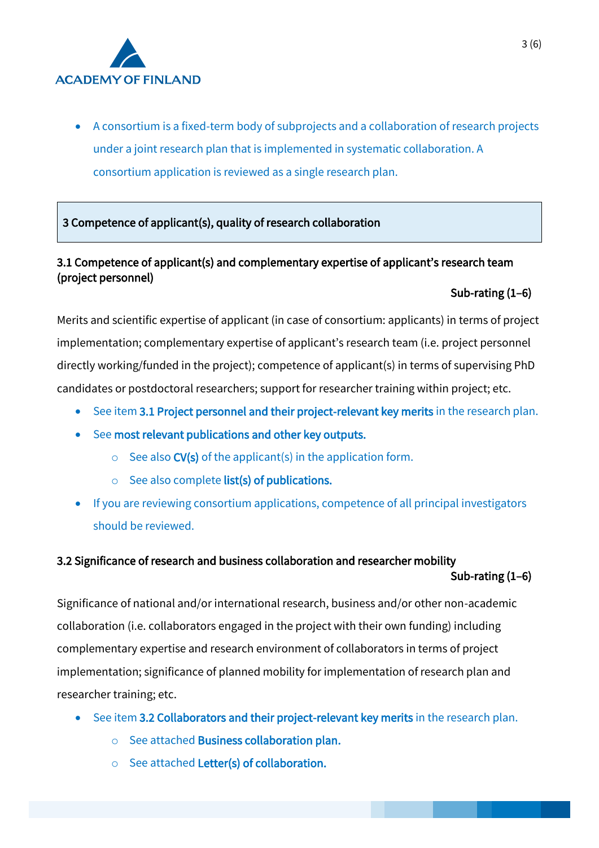

• A consortium is a fixed-term body of subprojects and a collaboration of research projects under a joint research plan that is implemented in systematic collaboration. A consortium application is reviewed as a single research plan.

3 Competence of applicant(s), quality of research collaboration

# 3.1 Competence of applicant(s) and complementary expertise of applicant's research team (project personnel)

# Sub-rating (1–6)

Merits and scientific expertise of applicant (in case of consortium: applicants) in terms of project implementation; complementary expertise of applicant's research team (i.e. project personnel directly working/funded in the project); competence of applicant(s) in terms of supervising PhD candidates or postdoctoral researchers; support for researcher training within project; etc.

- See item 3.1 Project personnel and their project-relevant key merits in the research plan.
- See most relevant publications and other key outputs.
	- $\circ$  See also CV(s) of the applicant(s) in the application form.
	- $\circ$  See also complete list(s) of publications.
- If you are reviewing consortium applications, competence of all principal investigators should be reviewed.

# 3.2 Significance of research and business collaboration and researcher mobility

Sub-rating (1–6)

Significance of national and/or international research, business and/or other non-academic collaboration (i.e. collaborators engaged in the project with their own funding) including complementary expertise and research environment of collaborators in terms of project implementation; significance of planned mobility for implementation of research plan and researcher training; etc.

- See item 3.2 Collaborators and their project-relevant key merits in the research plan.
	- o See attached Business collaboration plan.
	- o See attached Letter(s) of collaboration.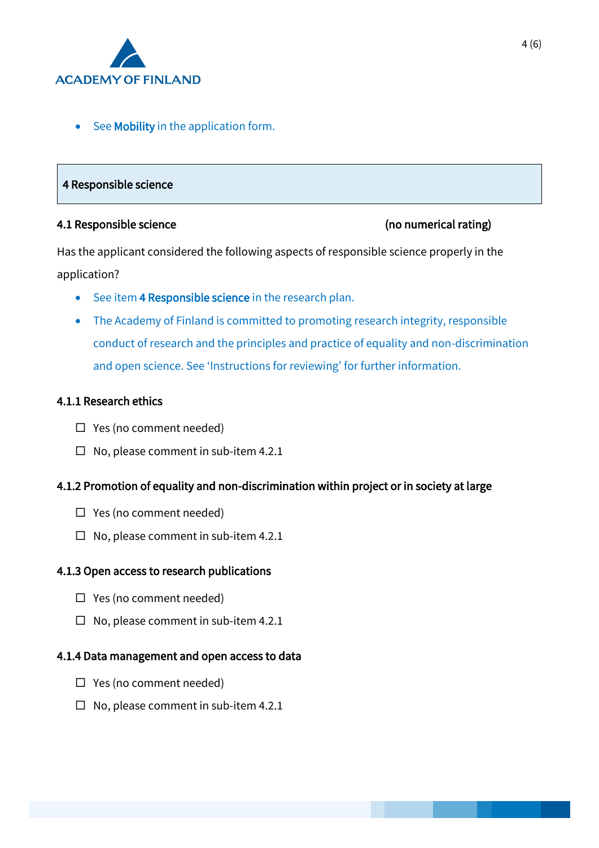

See Mobility in the application form.

### 4 Responsible science

#### 4.1 Responsible science (no numerical rating)

Has the applicant considered the following aspects of responsible science properly in the application?

- See item 4 Responsible science in the research plan.
- The Academy of Finland is committed to promoting research integrity, responsible conduct of research and the principles and practice of equality and non-discrimination and open science. See 'Instructions for reviewing' for further information.

# 4.1.1 Research ethics

- $\Box$  Yes (no comment needed)
- $\Box$  No, please comment in sub-item 4.2.1

# 4.1.2 Promotion of equality and non-discrimination within project or in society at large

- □ Yes (no comment needed)
- $\Box$  No, please comment in sub-item 4.2.1

#### 4.1.3 Open access to research publications

- $\Box$  Yes (no comment needed)
- $\Box$  No, please comment in sub-item 4.2.1

# 4.1.4 Data management and open access to data

- □ Yes (no comment needed)
- $\Box$  No, please comment in sub-item 4.2.1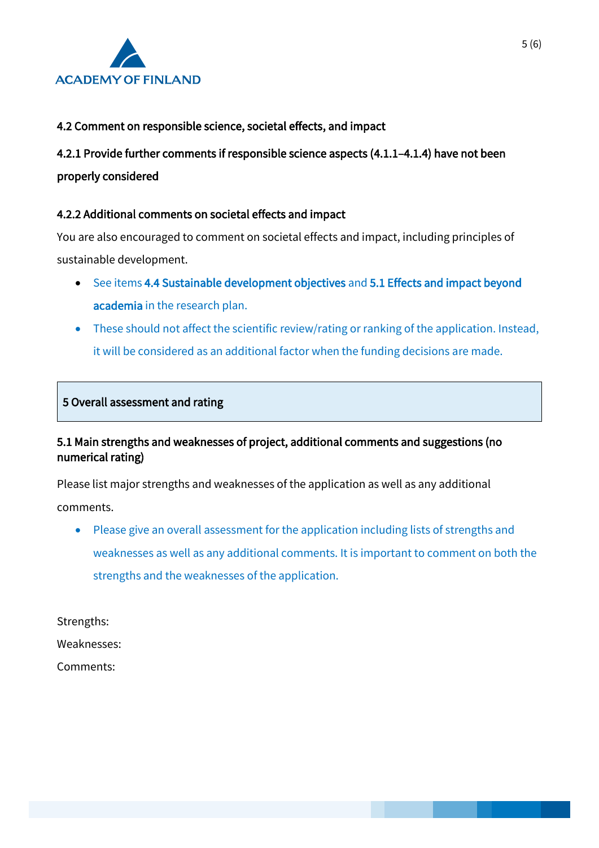

# 4.2 Comment on responsible science, societal effects, and impact

4.2.1 Provide further comments if responsible science aspects (4.1.1–4.1.4) have not been properly considered

# 4.2.2 Additional comments on societal effects and impact

You are also encouraged to comment on societal effects and impact, including principles of sustainable development.

- See items 4.4 Sustainable development objectives and 5.1 Effects and impact beyond academia in the research plan.
- These should not affect the scientific review/rating or ranking of the application. Instead, it will be considered as an additional factor when the funding decisions are made.

# 5 Overall assessment and rating

# 5.1 Main strengths and weaknesses of project, additional comments and suggestions (no numerical rating)

Please list major strengths and weaknesses of the application as well as any additional comments.

• Please give an overall assessment for the application including lists of strengths and weaknesses as well as any additional comments. It is important to comment on both the strengths and the weaknesses of the application.

Strengths:

Weaknesses:

Comments: